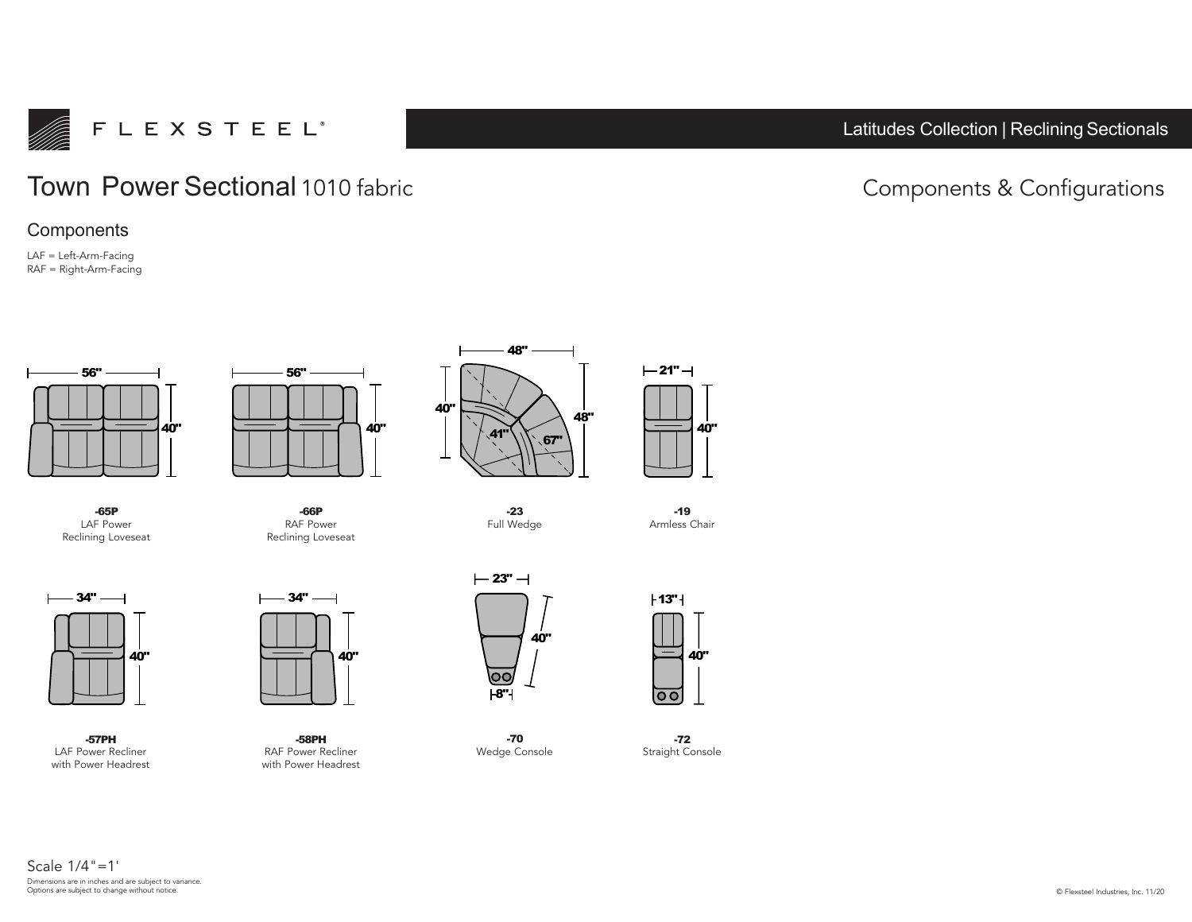

## Latitudes Collection | Reclining Sectionals

## Town Power Sectional 1010 fabric and the Components & Configurations

## **Components**

LAF = Left-Arm-Facing RAF = Right-Arm-Facing



**-65P** LAF Power Reclining Loveseat



**-57PH** LAF Power Recliner with Power Headrest



**-66P** RAF Power Reclining Loveseat



**-23** Full Wedge



**-58PH** RAF Power Recliner with Power Headrest



**-70** Wedge Console

**40"**

 $-21"$   $-1$ 

**-19** Armless Chair



**-72** Straight Console